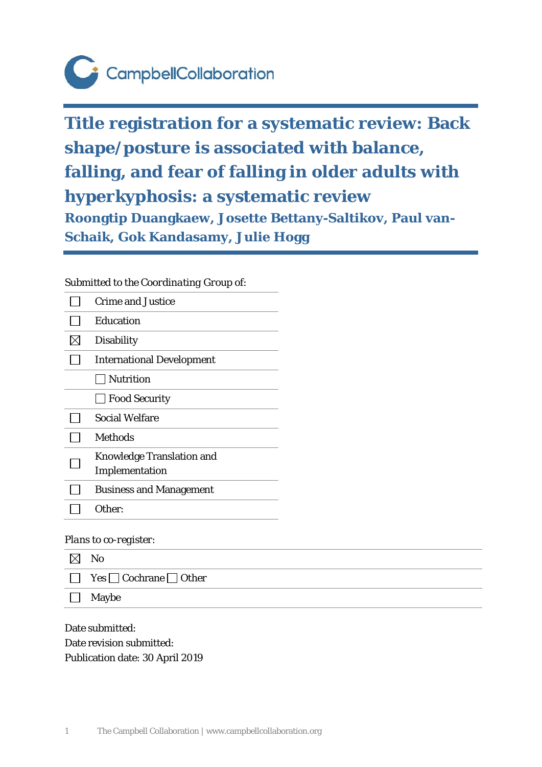# CampbellCollaboration

**Title registration for a systematic review: Back shape/posture is associated with balance, falling, and fear of falling in older adults with hyperkyphosis: a systematic review Roongtip Duangkaew, Josette Bettany-Saltikov, Paul van-Schaik, Gok Kandasamy, Julie Hogg**

# *Submitted to the Coordinating Group of:*

|  | <b>Crime and Justice</b>         |
|--|----------------------------------|
|  | Education                        |
|  | <b>Disability</b>                |
|  | <b>International Development</b> |
|  | <b>Nutrition</b>                 |
|  | <b>Food Security</b>             |
|  | Social Welfare                   |
|  | <b>Methods</b>                   |
|  | <b>Knowledge Translation and</b> |
|  | Implementation                   |
|  | <b>Business and Management</b>   |
|  | Other:                           |

## *Plans to co-register:*

| $\boxtimes$ | $\mathbf{N}\mathbf{o}$                  |
|-------------|-----------------------------------------|
|             | $\Box$ Yes $\Box$ Cochrane $\Box$ Other |
| $\Box$      | Maybe                                   |

Date submitted: Date revision submitted: Publication date: 30 April 2019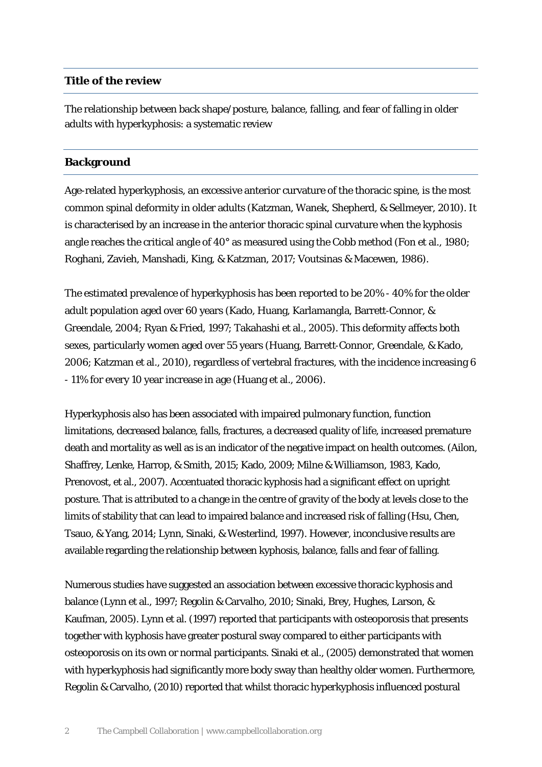#### **Title of the review**

The relationship between back shape/posture, balance, falling, and fear of falling in older adults with hyperkyphosis: a systematic review

#### **Background**

Age-related hyperkyphosis, an excessive anterior curvature of the thoracic spine, is the most common spinal deformity in older adults (Katzman, Wanek, Shepherd, & Sellmeyer, 2010). It is characterised by an increase in the anterior thoracic spinal curvature when the kyphosis angle reaches the critical angle of 40° as measured using the Cobb method (Fon et al., 1980; Roghani, Zavieh, Manshadi, King, & Katzman, 2017; Voutsinas & Macewen, 1986).

The estimated prevalence of hyperkyphosis has been reported to be 20% - 40% for the older adult population aged over 60 years (Kado, Huang, Karlamangla, Barrett‐Connor, & Greendale, 2004; Ryan & Fried, 1997; Takahashi et al., 2005). This deformity affects both sexes, particularly women aged over 55 years (Huang, Barrett‐Connor, Greendale, & Kado, 2006; Katzman et al., 2010), regardless of vertebral fractures, with the incidence increasing 6 - 11% for every 10 year increase in age (Huang et al., 2006).

Hyperkyphosis also has been associated with impaired pulmonary function, function limitations, decreased balance, falls, fractures, a decreased quality of life, increased premature death and mortality as well as is an indicator of the negative impact on health outcomes. (Ailon, Shaffrey, Lenke, Harrop, & Smith, 2015; Kado, 2009; Milne & Williamson, 1983, Kado, Prenovost, et al., 2007). Accentuated thoracic kyphosis had a significant effect on upright posture. That is attributed to a change in the centre of gravity of the body at levels close to the limits of stability that can lead to impaired balance and increased risk of falling (Hsu, Chen, Tsauo, & Yang, 2014; Lynn, Sinaki, & Westerlind, 1997). However, inconclusive results are available regarding the relationship between kyphosis, balance, falls and fear of falling.

Numerous studies have suggested an association between excessive thoracic kyphosis and balance (Lynn et al., 1997; Regolin & Carvalho, 2010; Sinaki, Brey, Hughes, Larson, & Kaufman, 2005). Lynn et al. (1997) reported that participants with osteoporosis that presents together with kyphosis have greater postural sway compared to either participants with osteoporosis on its own or normal participants. Sinaki et al., (2005) demonstrated that women with hyperkyphosis had significantly more body sway than healthy older women. Furthermore, Regolin & Carvalho, (2010) reported that whilst thoracic hyperkyphosis influenced postural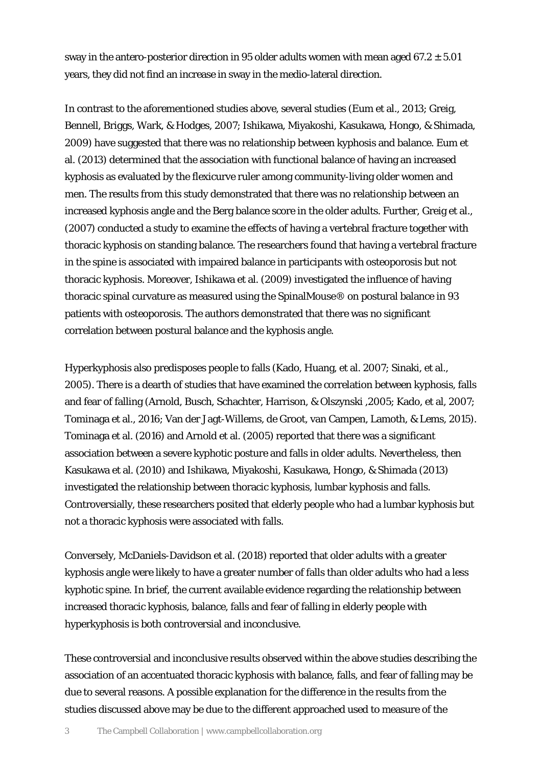sway in the antero-posterior direction in 95 older adults women with mean aged  $67.2 \pm 5.01$ years, they did not find an increase in sway in the medio-lateral direction.

In contrast to the aforementioned studies above, several studies (Eum et al., 2013; Greig, Bennell, Briggs, Wark, & Hodges, 2007; Ishikawa, Miyakoshi, Kasukawa, Hongo, & Shimada, 2009) have suggested that there was no relationship between kyphosis and balance. Eum et al. (2013) determined that the association with functional balance of having an increased kyphosis as evaluated by the flexicurve ruler among community-living older women and men. The results from this study demonstrated that there was no relationship between an increased kyphosis angle and the Berg balance score in the older adults. Further, Greig et al., (2007) conducted a study to examine the effects of having a vertebral fracture together with thoracic kyphosis on standing balance. The researchers found that having a vertebral fracture in the spine is associated with impaired balance in participants with osteoporosis but not thoracic kyphosis. Moreover, Ishikawa et al. (2009) investigated the influence of having thoracic spinal curvature as measured using the SpinalMouse® on postural balance in 93 patients with osteoporosis. The authors demonstrated that there was no significant correlation between postural balance and the kyphosis angle.

Hyperkyphosis also predisposes people to falls (Kado, Huang, et al. 2007; Sinaki, et al., 2005). There is a dearth of studies that have examined the correlation between kyphosis, falls and fear of falling (Arnold, Busch, Schachter, Harrison, & Olszynski ,2005; Kado, et al, 2007; Tominaga et al., 2016; Van der Jagt-Willems, de Groot, van Campen, Lamoth, & Lems, 2015). Tominaga et al. (2016) and Arnold et al. (2005) reported that there was a significant association between a severe kyphotic posture and falls in older adults. Nevertheless, then Kasukawa et al. (2010) and Ishikawa, Miyakoshi, Kasukawa, Hongo, & Shimada (2013) investigated the relationship between thoracic kyphosis, lumbar kyphosis and falls. Controversially, these researchers posited that elderly people who had a lumbar kyphosis but not a thoracic kyphosis were associated with falls.

Conversely, McDaniels-Davidson et al. (2018) reported that older adults with a greater kyphosis angle were likely to have a greater number of falls than older adults who had a less kyphotic spine. In brief, the current available evidence regarding the relationship between increased thoracic kyphosis, balance, falls and fear of falling in elderly people with hyperkyphosis is both controversial and inconclusive.

These controversial and inconclusive results observed within the above studies describing the association of an accentuated thoracic kyphosis with balance, falls, and fear of falling may be due to several reasons. A possible explanation for the difference in the results from the studies discussed above may be due to the different approached used to measure of the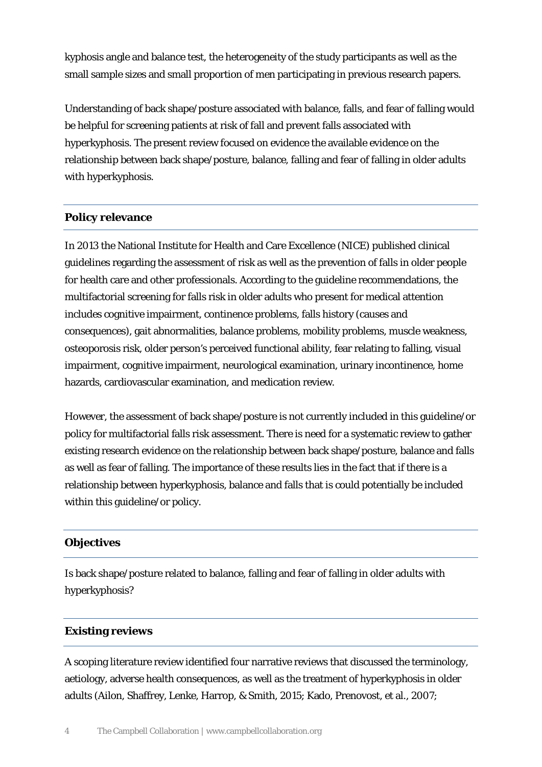kyphosis angle and balance test, the heterogeneity of the study participants as well as the small sample sizes and small proportion of men participating in previous research papers.

Understanding of back shape/posture associated with balance, falls, and fear of falling would be helpful for screening patients at risk of fall and prevent falls associated with hyperkyphosis. The present review focused on evidence the available evidence on the relationship between back shape/posture, balance, falling and fear of falling in older adults with hyperkyphosis.

# **Policy relevance**

In 2013 the National Institute for Health and Care Excellence (NICE) published clinical guidelines regarding the assessment of risk as well as the prevention of falls in older people for health care and other professionals. According to the guideline recommendations, the multifactorial screening for falls risk in older adults who present for medical attention includes cognitive impairment, continence problems, falls history (causes and consequences), gait abnormalities, balance problems, mobility problems, muscle weakness, osteoporosis risk, older person's perceived functional ability, fear relating to falling, visual impairment, cognitive impairment, neurological examination, urinary incontinence, home hazards, cardiovascular examination, and medication review.

However, the assessment of back shape/posture is not currently included in this guideline/or policy for multifactorial falls risk assessment. There is need for a systematic review to gather existing research evidence on the relationship between back shape/posture, balance and falls as well as fear of falling. The importance of these results lies in the fact that if there is a relationship between hyperkyphosis, balance and falls that is could potentially be included within this guideline/or policy.

# **Objectives**

Is back shape/posture related to balance, falling and fear of falling in older adults with hyperkyphosis?

## **Existing reviews**

A scoping literature review identified four narrative reviews that discussed the terminology, aetiology, adverse health consequences, as well as the treatment of hyperkyphosis in older adults (Ailon, Shaffrey, Lenke, Harrop, & Smith, 2015; Kado, Prenovost, et al., 2007;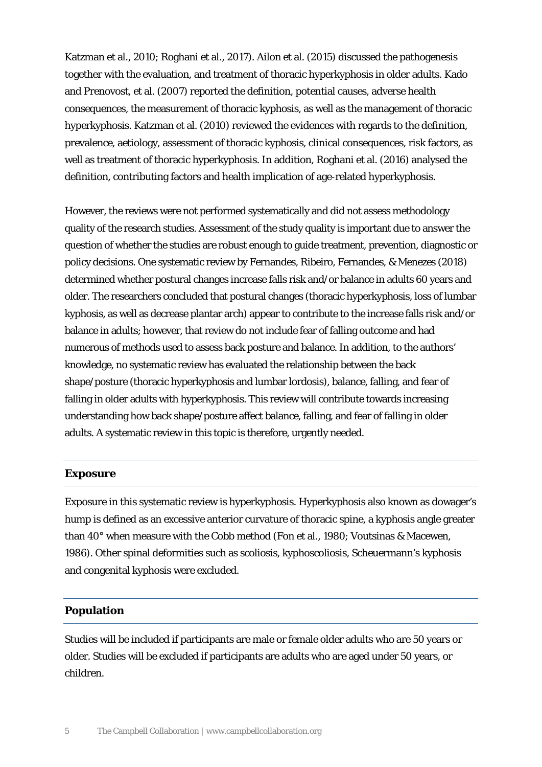Katzman et al., 2010; Roghani et al., 2017). Ailon et al. (2015) discussed the pathogenesis together with the evaluation, and treatment of thoracic hyperkyphosis in older adults. Kado and Prenovost, et al. (2007) reported the definition, potential causes, adverse health consequences, the measurement of thoracic kyphosis, as well as the management of thoracic hyperkyphosis. Katzman et al. (2010) reviewed the evidences with regards to the definition, prevalence, aetiology, assessment of thoracic kyphosis, clinical consequences, risk factors, as well as treatment of thoracic hyperkyphosis. In addition, Roghani et al. (2016) analysed the definition, contributing factors and health implication of age-related hyperkyphosis.

However, the reviews were not performed systematically and did not assess methodology quality of the research studies. Assessment of the study quality is important due to answer the question of whether the studies are robust enough to guide treatment, prevention, diagnostic or policy decisions. One systematic review by Fernandes, Ribeiro, Fernandes, & Menezes (2018) determined whether postural changes increase falls risk and/or balance in adults 60 years and older. The researchers concluded that postural changes (thoracic hyperkyphosis, loss of lumbar kyphosis, as well as decrease plantar arch) appear to contribute to the increase falls risk and/or balance in adults; however, that review do not include fear of falling outcome and had numerous of methods used to assess back posture and balance. In addition, to the authors' knowledge, no systematic review has evaluated the relationship between the back shape/posture (thoracic hyperkyphosis and lumbar lordosis), balance, falling, and fear of falling in older adults with hyperkyphosis. This review will contribute towards increasing understanding how back shape/posture affect balance, falling, and fear of falling in older adults. A systematic review in this topic is therefore, urgently needed.

#### **Exposure**

Exposure in this systematic review is hyperkyphosis. Hyperkyphosis also known as dowager's hump is defined as an excessive anterior curvature of thoracic spine, a kyphosis angle greater than 40° when measure with the Cobb method (Fon et al., 1980; Voutsinas & Macewen, 1986). Other spinal deformities such as scoliosis, kyphoscoliosis, Scheuermann's kyphosis and congenital kyphosis were excluded.

#### **Population**

Studies will be included if participants are male or female older adults who are 50 years or older. Studies will be excluded if participants are adults who are aged under 50 years, or children.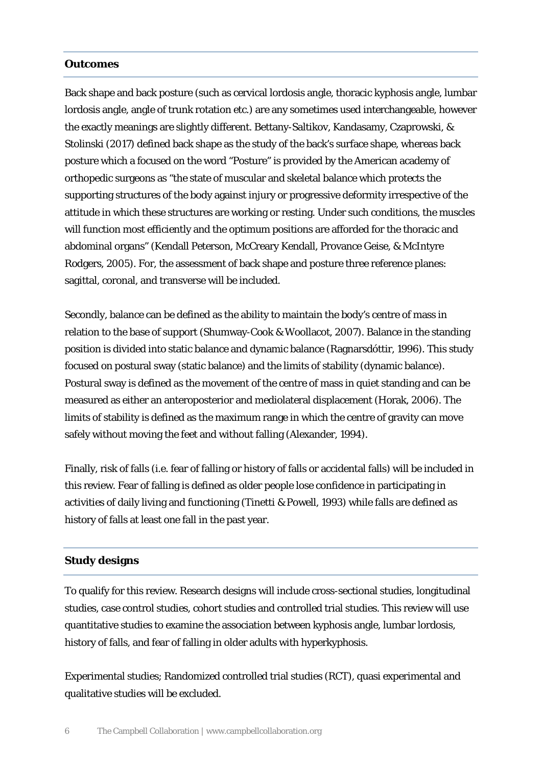#### **Outcomes**

Back shape and back posture (such as cervical lordosis angle, thoracic kyphosis angle, lumbar lordosis angle, angle of trunk rotation etc.) are any sometimes used interchangeable, however the exactly meanings are slightly different. Bettany-Saltikov, Kandasamy, Czaprowski, & Stolinski (2017) defined back shape as the study of the back's surface shape, whereas back posture which a focused on the word "Posture" is provided by the American academy of orthopedic surgeons as "the state of muscular and skeletal balance which protects the supporting structures of the body against injury or progressive deformity irrespective of the attitude in which these structures are working or resting. Under such conditions, the muscles will function most efficiently and the optimum positions are afforded for the thoracic and abdominal organs" (Kendall Peterson, McCreary Kendall, Provance Geise, & McIntyre Rodgers, 2005). For, the assessment of back shape and posture three reference planes: sagittal, coronal, and transverse will be included.

Secondly, balance can be defined as the ability to maintain the body's centre of mass in relation to the base of support (Shumway-Cook & Woollacot, 2007). Balance in the standing position is divided into static balance and dynamic balance (Ragnarsdóttir, 1996). This study focused on postural sway (static balance) and the limits of stability (dynamic balance). Postural sway is defined as the movement of the centre of mass in quiet standing and can be measured as either an anteroposterior and mediolateral displacement (Horak, 2006). The limits of stability is defined as the maximum range in which the centre of gravity can move safely without moving the feet and without falling (Alexander, 1994).

Finally, risk of falls (i.e. fear of falling or history of falls or accidental falls) will be included in this review. Fear of falling is defined as older people lose confidence in participating in activities of daily living and functioning (Tinetti & Powell, 1993) while falls are defined as history of falls at least one fall in the past year.

#### **Study designs**

To qualify for this review. Research designs will include cross-sectional studies, longitudinal studies, case control studies, cohort studies and controlled trial studies. This review will use quantitative studies to examine the association between kyphosis angle, lumbar lordosis, history of falls, and fear of falling in older adults with hyperkyphosis.

Experimental studies; Randomized controlled trial studies (RCT), quasi experimental and qualitative studies will be excluded.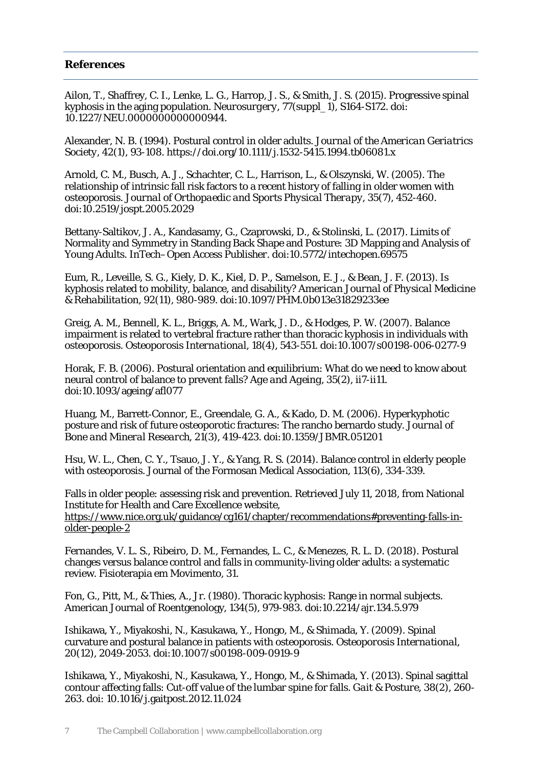## **References**

Ailon, T., Shaffrey, C. I., Lenke, L. G., Harrop, J. S., & Smith, J. S. (2015). Progressive spinal kyphosis in the aging population. *Neurosurgery*, 77(suppl\_1), S164-S172. doi: 10.1227/NEU.0000000000000944.

Alexander, N. B. (1994). Postural control in older adults. *Journal of the American Geriatrics Society*, 42(1), 93-108. https://doi.org/10.1111/j.1532-5415.1994.tb06081.x

Arnold, C. M., Busch, A. J., Schachter, C. L., Harrison, L., & Olszynski, W. (2005). The relationship of intrinsic fall risk factors to a recent history of falling in older women with osteoporosis. *Journal of Orthopaedic and Sports Physical Therapy*, 35(7), 452-460. doi:10.2519/jospt.2005.2029

Bettany-Saltikov, J. A., Kandasamy, G., Czaprowski, D., & Stolinski, L. (2017). Limits of Normality and Symmetry in Standing Back Shape and Posture: 3D Mapping and Analysis of Young Adults*. InTech–Open Access Publisher*. doi:10.5772/intechopen.69575

Eum, R., Leveille, S. G., Kiely, D. K., Kiel, D. P., Samelson, E. J., & Bean, J. F. (2013). Is kyphosis related to mobility, balance, and disability? *American Journal of Physical Medicine & Rehabilitation*, 92(11), 980-989. doi:10.1097/PHM.0b013e31829233ee

Greig, A. M., Bennell, K. L., Briggs, A. M., Wark, J. D., & Hodges, P. W. (2007). Balance impairment is related to vertebral fracture rather than thoracic kyphosis in individuals with osteoporosis. *Osteoporosis International*, 18(4), 543-551. doi:10.1007/s00198-006-0277-9

Horak, F. B. (2006). Postural orientation and equilibrium: What do we need to know about neural control of balance to prevent falls? *Age and Ageing*, 35(2), ii7-ii11. doi:10.1093/ageing/afl077

Huang, M., Barrett-Connor, E., Greendale, G. A., & Kado, D. M. (2006). Hyperkyphotic posture and risk of future osteoporotic fractures: The rancho bernardo study. *Journal of Bone and Mineral Research*, 21(3), 419-423. doi:10.1359/JBMR.051201

Hsu, W. L., Chen, C. Y., Tsauo, J. Y., & Yang, R. S. (2014). Balance control in elderly people with osteoporosis. Journal of the Formosan Medical Association, 113(6), 334-339.

Falls in older people: assessing risk and prevention. Retrieved July 11, 2018, from National Institute for Health and Care Excellence website, [https://www.nice.org.uk/guidance/cg161/chapter/recommendations#preventing-falls-in](https://www.nice.org.uk/guidance/cg161/chapter/recommendations#preventing-falls-in-older-people-2)[older-people-2](https://www.nice.org.uk/guidance/cg161/chapter/recommendations#preventing-falls-in-older-people-2)

Fernandes, V. L. S., Ribeiro, D. M., Fernandes, L. C., & Menezes, R. L. D. (2018). Postural changes versus balance control and falls in community-living older adults: a systematic review. Fisioterapia em Movimento, 31.

Fon, G., Pitt, M., & Thies, A., Jr. (1980). Thoracic kyphosis: Range in normal subjects. American Journal of Roentgenology, 134(5), 979-983. doi:10.2214/ajr.134.5.979

Ishikawa, Y., Miyakoshi, N., Kasukawa, Y., Hongo, M., & Shimada, Y. (2009). Spinal curvature and postural balance in patients with osteoporosis*. Osteoporosis International*, 20(12), 2049-2053. doi:10.1007/s00198-009-0919-9

Ishikawa, Y., Miyakoshi, N., Kasukawa, Y., Hongo, M., & Shimada, Y. (2013). Spinal sagittal contour affecting falls: Cut-off value of the lumbar spine for falls. *Gait & Posture*, 38(2), 260- 263. doi: 10.1016/j.gaitpost.2012.11.024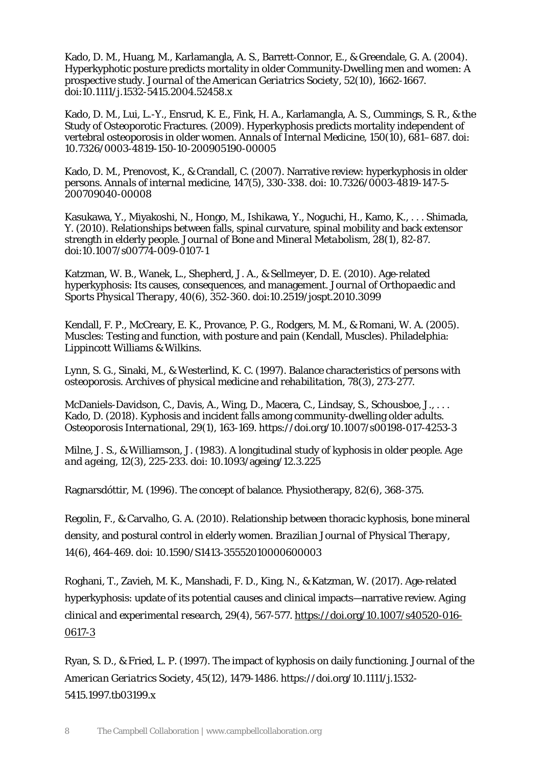Kado, D. M., Huang, M., Karlamangla, A. S., Barrett‐Connor, E., & Greendale, G. A. (2004). Hyperkyphotic posture predicts mortality in older Community‐Dwelling men and women: A prospective study. *Journal of the American Geriatrics Society*, 52(10), 1662-1667. doi:10.1111/j.1532-5415.2004.52458.x

Kado, D. M., Lui, L.-Y., Ensrud, K. E., Fink, H. A., Karlamangla, A. S., Cummings, S. R., & the Study of Osteoporotic Fractures. (2009). Hyperkyphosis predicts mortality independent of vertebral osteoporosis in older women. *Annals of Internal Medicine*, 150(10), 681–687. doi: 10.7326/0003-4819-150-10-200905190-00005

Kado, D. M., Prenovost, K., & Crandall, C. (2007). Narrative review: hyperkyphosis in older persons. *Annals of internal medicine*, 147(5), 330-338. doi: 10.7326/0003-4819-147-5- 200709040-00008

Kasukawa, Y., Miyakoshi, N., Hongo, M., Ishikawa, Y., Noguchi, H., Kamo, K., . . . Shimada, Y. (2010). Relationships between falls, spinal curvature, spinal mobility and back extensor strength in elderly people. *Journal of Bone and Mineral Metabolism*, 28(1), 82-87. doi:10.1007/s00774-009-0107-1

Katzman, W. B., Wanek, L., Shepherd, J. A., & Sellmeyer, D. E. (2010). Age-related hyperkyphosis: Its causes, consequences, and management. *Journal of Orthopaedic and Sports Physical Therapy*, 40(6), 352-360. doi:10.2519/jospt.2010.3099

Kendall, F. P., McCreary, E. K., Provance, P. G., Rodgers, M. M., & Romani, W. A. (2005). Muscles: Testing and function, with posture and pain (Kendall, Muscles). Philadelphia: Lippincott Williams & Wilkins.

Lynn, S. G., Sinaki, M., & Westerlind, K. C. (1997). Balance characteristics of persons with osteoporosis. *Archives of physical medicine and rehabilitation*, 78(3), 273-277.

McDaniels-Davidson, C., Davis, A., Wing, D., Macera, C., Lindsay, S., Schousboe, J., . . . Kado, D. (2018). Kyphosis and incident falls among community-dwelling older adults. *Osteoporosis International*, 29(1), 163-169. https://doi.org/10.1007/s00198-017-4253-3

Milne, J. S., & Williamson, J. (1983). A longitudinal study of kyphosis in older people. *Age and ageing*, 12(3), 225-233. doi: 10.1093/ageing/12.3.225

Ragnarsdóttir, M. (1996). The concept of balance. Physiotherapy, 82(6), 368-375.

Regolin, F., & Carvalho, G. A. (2010). Relationship between thoracic kyphosis, bone mineral density, and postural control in elderly women. *Brazilian Journal of Physical Therapy*, 14(6), 464-469. doi: 10.1590/S1413-35552010000600003

Roghani, T., Zavieh, M. K., Manshadi, F. D., King, N., & Katzman, W. (2017). Age-related hyperkyphosis: update of its potential causes and clinical impacts—narrative review. *Aging clinical and experimental research*, 29(4), 567-577[. https://doi.org/10.1007/s40520-016-](https://doi.org/10.1007/s40520-016-0617-3) [0617-3](https://doi.org/10.1007/s40520-016-0617-3)

Ryan, S. D., & Fried, L. P. (1997). The impact of kyphosis on daily functioning. *Journal of the American Geriatrics Society*, 45(12), 1479-1486. https://doi.org/10.1111/j.1532- 5415.1997.tb03199.x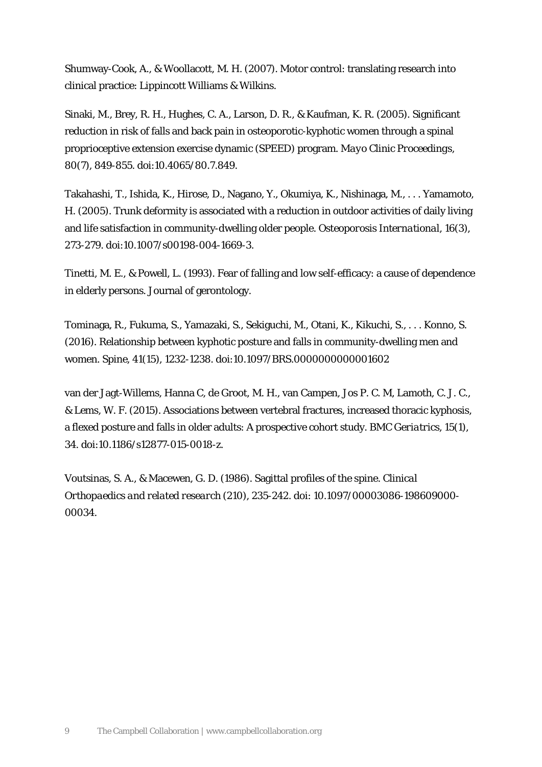Shumway-Cook, A., & Woollacott, M. H. (2007). Motor control: translating research into clinical practice: Lippincott Williams & Wilkins.

Sinaki, M., Brey, R. H., Hughes, C. A., Larson, D. R., & Kaufman, K. R. (2005). Significant reduction in risk of falls and back pain in osteoporotic-kyphotic women through a spinal proprioceptive extension exercise dynamic (SPEED) program. *Mayo Clinic Proceedings*, 80(7), 849-855. doi:10.4065/80.7.849.

Takahashi, T., Ishida, K., Hirose, D., Nagano, Y., Okumiya, K., Nishinaga, M., . . . Yamamoto, H. (2005). Trunk deformity is associated with a reduction in outdoor activities of daily living and life satisfaction in community-dwelling older people. *Osteoporosis International*, 16(3), 273-279. doi:10.1007/s00198-004-1669-3.

Tinetti, M. E., & Powell, L. (1993). Fear of falling and low self-efficacy: a cause of dependence in elderly persons. Journal of gerontology.

Tominaga, R., Fukuma, S., Yamazaki, S., Sekiguchi, M., Otani, K., Kikuchi, S., . . . Konno, S. (2016). Relationship between kyphotic posture and falls in community-dwelling men and women. *Spine*, 41(15), 1232-1238. doi:10.1097/BRS.0000000000001602

van der Jagt-Willems, Hanna C, de Groot, M. H., van Campen, Jos P. C. M, Lamoth, C. J. C., & Lems, W. F. (2015). Associations between vertebral fractures, increased thoracic kyphosis, a flexed posture and falls in older adults: A prospective cohort study. *BMC Geriatrics*, 15(1), 34. doi:10.1186/s12877-015-0018-z.

Voutsinas, S. A., & Macewen, G. D. (1986). Sagittal profiles of the spine. *Clinical Orthopaedics and related research* (210), 235-242. doi: 10.1097/00003086-198609000- 00034.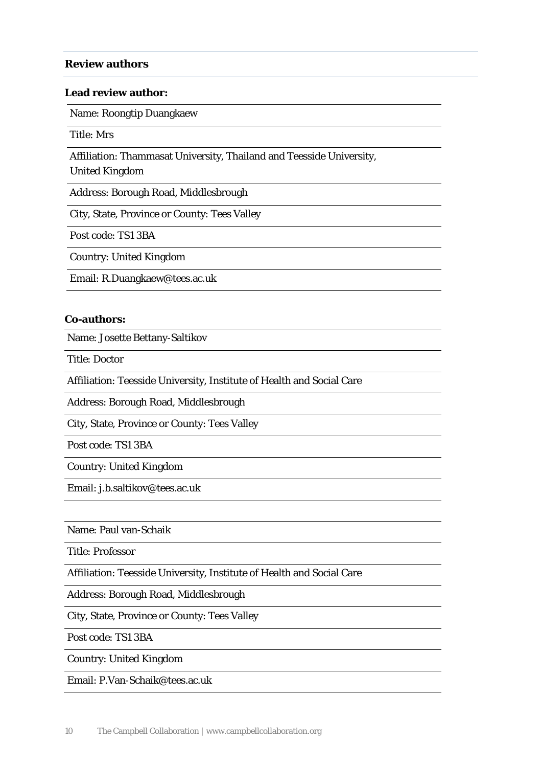#### **Review authors**

#### **Lead review author:**

Name: Roongtip Duangkaew

Title: Mrs

Affiliation: Thammasat University, Thailand and Teesside University,

United Kingdom

Address: Borough Road, Middlesbrough

City, State, Province or County: Tees Valley

Post code: TS1 3BA

Country: United Kingdom

Email: R.Duangkaew@tees.ac.uk

#### **Co-authors:**

Name: Josette Bettany-Saltikov

Title: Doctor

Affiliation: Teesside University, Institute of Health and Social Care

Address: Borough Road, Middlesbrough

City, State, Province or County: Tees Valley

Post code: TS1 3BA

Country: United Kingdom

Email: j.b.saltikov@tees.ac.uk

Name: Paul van-Schaik

Title: Professor

Affiliation: Teesside University, Institute of Health and Social Care

Address: Borough Road, Middlesbrough

City, State, Province or County: Tees Valley

Post code: TS1 3BA

Country: United Kingdom

Email: P.Van-Schaik@tees.ac.uk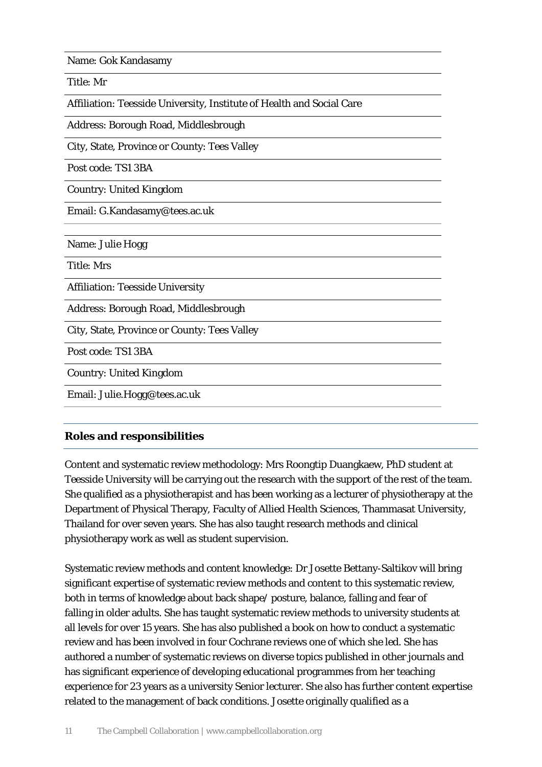Name: Gok Kandasamy

Title: Mr

Affiliation: Teesside University, Institute of Health and Social Care

Address: Borough Road, Middlesbrough

City, State, Province or County: Tees Valley

Post code: TS1 3BA

Country: United Kingdom

Email: G.Kandasamy@tees.ac.uk

Name: Julie Hogg

Title: Mrs

Affiliation: Teesside University

Address: Borough Road, Middlesbrough

City, State, Province or County: Tees Valley

Post code: TS1 3BA

Country: United Kingdom

Email: Julie.Hogg@tees.ac.uk

## **Roles and responsibilities**

Content and systematic review methodology: Mrs Roongtip Duangkaew, PhD student at Teesside University will be carrying out the research with the support of the rest of the team. She qualified as a physiotherapist and has been working as a lecturer of physiotherapy at the Department of Physical Therapy, Faculty of Allied Health Sciences, Thammasat University, Thailand for over seven years. She has also taught research methods and clinical physiotherapy work as well as student supervision.

Systematic review methods and content knowledge: Dr Josette Bettany-Saltikov will bring significant expertise of systematic review methods and content to this systematic review, both in terms of knowledge about back shape/ posture, balance, falling and fear of falling in older adults. She has taught systematic review methods to university students at all levels for over 15 years. She has also published a book on how to conduct a systematic review and has been involved in four Cochrane reviews one of which she led. She has authored a number of systematic reviews on diverse topics published in other journals and has significant experience of developing educational programmes from her teaching experience for 23 years as a university Senior lecturer. She also has further content expertise related to the management of back conditions. Josette originally qualified as a